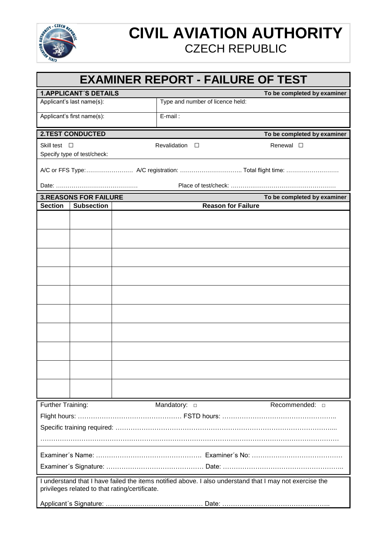

## **CIVIL AVIATION AUTHORITY** CZECH REPUBLIC

### **EXAMINER REPORT - FAILURE OF TEST**

| <b>1. APPLICANT'S DETAILS</b>                                                                                                                             |                   |  |                                  | To be completed by examiner |
|-----------------------------------------------------------------------------------------------------------------------------------------------------------|-------------------|--|----------------------------------|-----------------------------|
| Applicant's last name(s):                                                                                                                                 |                   |  | Type and number of licence held: |                             |
| Applicant's first name(s):                                                                                                                                |                   |  | E-mail:                          |                             |
| <b>2.TEST CONDUCTED</b>                                                                                                                                   |                   |  |                                  | To be completed by examiner |
| Skill test $\square$                                                                                                                                      |                   |  | <b>Revalidation</b><br>$\Box$    | Renewal $\square$           |
| Specify type of test/check:                                                                                                                               |                   |  |                                  |                             |
|                                                                                                                                                           |                   |  |                                  |                             |
|                                                                                                                                                           |                   |  |                                  |                             |
| <b>3.REASONS FOR FAILURE</b>                                                                                                                              |                   |  |                                  | To be completed by examiner |
| <b>Section</b>                                                                                                                                            | <b>Subsection</b> |  | <b>Reason for Failure</b>        |                             |
|                                                                                                                                                           |                   |  |                                  |                             |
|                                                                                                                                                           |                   |  |                                  |                             |
|                                                                                                                                                           |                   |  |                                  |                             |
|                                                                                                                                                           |                   |  |                                  |                             |
|                                                                                                                                                           |                   |  |                                  |                             |
|                                                                                                                                                           |                   |  |                                  |                             |
|                                                                                                                                                           |                   |  |                                  |                             |
|                                                                                                                                                           |                   |  |                                  |                             |
|                                                                                                                                                           |                   |  |                                  |                             |
|                                                                                                                                                           |                   |  |                                  |                             |
| Further Training:                                                                                                                                         |                   |  | Mandatory: $\Box$                | Recommended: $\Box$         |
|                                                                                                                                                           |                   |  |                                  |                             |
|                                                                                                                                                           |                   |  |                                  |                             |
|                                                                                                                                                           |                   |  |                                  |                             |
|                                                                                                                                                           |                   |  |                                  |                             |
|                                                                                                                                                           |                   |  |                                  |                             |
| I understand that I have failed the items notified above. I also understand that I may not exercise the<br>privileges related to that rating/certificate. |                   |  |                                  |                             |
|                                                                                                                                                           |                   |  |                                  |                             |